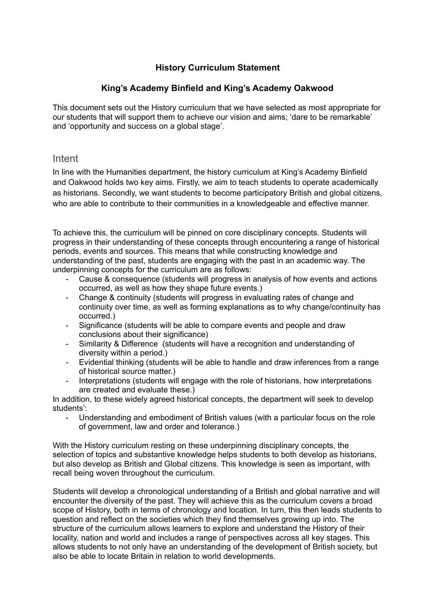## **History Curriculum Statement**

### **King's Academy Binfield and King's Academy Oakwood**

This document sets out the History curriculum that we have selected as most appropriate for our students that will support them to achieve our vision and aims; 'dare to be remarkable' and 'opportunity and success on a global stage'.

### Intent

In line with the Humanities department, the history curriculum at King's Academy Binfield and Oakwood holds two key aims. Firstly, we aim to teach students to operate academically as historians. Secondly, we want students to become participatory British and global citizens, who are able to contribute to their communities in a knowledgeable and effective manner.

To achieve this, the curriculum will be pinned on core disciplinary concepts. Students will progress in their understanding of these concepts through encountering a range of historical periods, events and sources. This means that while constructing knowledge and understanding of the past, students are engaging with the past in an academic way. The underpinning concepts for the curriculum are as follows:

- Cause & consequence (students will progress in analysis of how events and actions occurred, as well as how they shape future events.)
- Change & continuity (students will progress in evaluating rates of change and continuity over time, as well as forming explanations as to why change/continuity has occurred.)
- Significance (students will be able to compare events and people and draw conclusions about their significance)
- Similarity & Difference (students will have a recognition and understanding of diversity within a period.)
- Evidential thinking (students will be able to handle and draw inferences from a range of historical source matter.)
- Interpretations (students will engage with the role of historians, how interpretations are created and evaluate these.)

In addition, to these widely agreed historical concepts, the department will seek to develop students':

- Understanding and embodiment of British values (with a particular focus on the role of government, law and order and tolerance.)

With the History curriculum resting on these underpinning disciplinary concepts, the selection of topics and substantive knowledge helps students to both develop as historians, but also develop as British and Global citizens. This knowledge is seen as important, with recall being woven throughout the curriculum.

Students will develop a chronological understanding of a British and global narrative and will encounter the diversity of the past. They will achieve this as the curriculum covers a broad scope of History, both in terms of chronology and location. In turn, this then leads students to question and reflect on the societies which they find themselves growing up into. The structure of the curriculum allows learners to explore and understand the History of their locality, nation and world and includes a range of perspectives across all key stages. This allows students to not only have an understanding of the development of British society, but also be able to locate Britain in relation to world developments.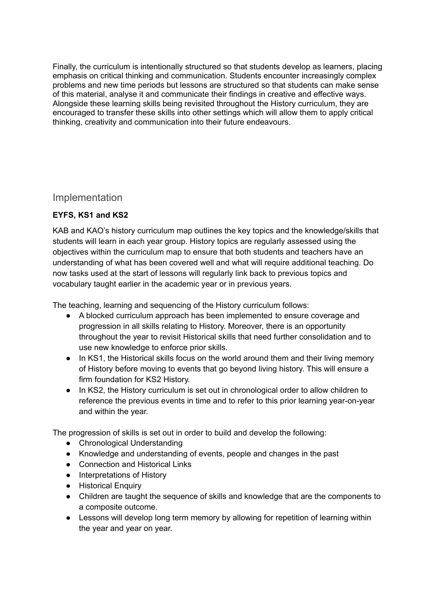Finally, the curriculum is intentionally structured so that students develop as learners, placing emphasis on critical thinking and communication. Students encounter increasingly complex problems and new time periods but lessons are structured so that students can make sense of this material, analyse it and communicate their findings in creative and effective ways. Alongside these learning skills being revisited throughout the History curriculum, they are encouraged to transfer these skills into other settings which will allow them to apply critical thinking, creativity and communication into their future endeavours.

# Implementation

## **EYFS, KS1 and KS2**

KAB and KAO's history curriculum map outlines the key topics and the knowledge/skills that students will learn in each year group. History topics are regularly assessed using the objectives within the curriculum map to ensure that both students and teachers have an understanding of what has been covered well and what will require additional teaching. Do now tasks used at the start of lessons will regularly link back to previous topics and vocabulary taught earlier in the academic year or in previous years.

The teaching, learning and sequencing of the History curriculum follows:

- A blocked curriculum approach has been implemented to ensure coverage and progression in all skills relating to History. Moreover, there is an opportunity throughout the year to revisit Historical skills that need further consolidation and to use new knowledge to enforce prior skills.
- In KS1, the Historical skills focus on the world around them and their living memory of History before moving to events that go beyond living history. This will ensure a firm foundation for KS2 History.
- In KS2, the History curriculum is set out in chronological order to allow children to reference the previous events in time and to refer to this prior learning year-on-year and within the year.

The progression of skills is set out in order to build and develop the following:

- Chronological Understanding
- Knowledge and understanding of events, people and changes in the past
- Connection and Historical Links
- Interpretations of History
- Historical Enquiry
- Children are taught the sequence of skills and knowledge that are the components to a composite outcome.
- Lessons will develop long term memory by allowing for repetition of learning within the year and year on year.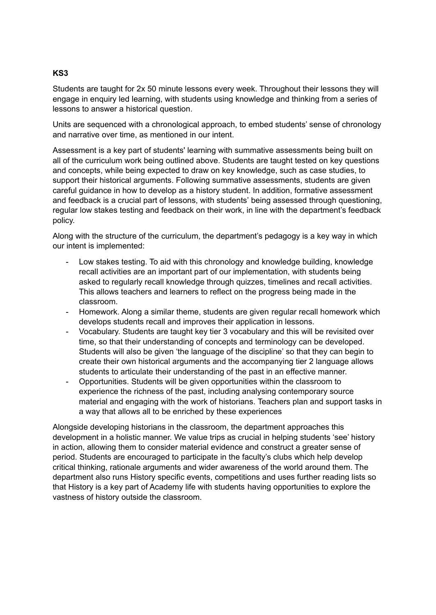#### **KS3**

Students are taught for 2x 50 minute lessons every week. Throughout their lessons they will engage in enquiry led learning, with students using knowledge and thinking from a series of lessons to answer a historical question.

Units are sequenced with a chronological approach, to embed students' sense of chronology and narrative over time, as mentioned in our intent.

Assessment is a key part of students' learning with summative assessments being built on all of the curriculum work being outlined above. Students are taught tested on key questions and concepts, while being expected to draw on key knowledge, such as case studies, to support their historical arguments. Following summative assessments, students are given careful guidance in how to develop as a history student. In addition, formative assessment and feedback is a crucial part of lessons, with students' being assessed through questioning, regular low stakes testing and feedback on their work, in line with the department's feedback policy.

Along with the structure of the curriculum, the department's pedagogy is a key way in which our intent is implemented:

- Low stakes testing. To aid with this chronology and knowledge building, knowledge recall activities are an important part of our implementation, with students being asked to regularly recall knowledge through quizzes, timelines and recall activities. This allows teachers and learners to reflect on the progress being made in the classroom.
- Homework. Along a similar theme, students are given regular recall homework which develops students recall and improves their application in lessons.
- Vocabulary. Students are taught key tier 3 vocabulary and this will be revisited over time, so that their understanding of concepts and terminology can be developed. Students will also be given 'the language of the discipline' so that they can begin to create their own historical arguments and the accompanying tier 2 language allows students to articulate their understanding of the past in an effective manner.
- Opportunities. Students will be given opportunities within the classroom to experience the richness of the past, including analysing contemporary source material and engaging with the work of historians. Teachers plan and support tasks in a way that allows all to be enriched by these experiences

Alongside developing historians in the classroom, the department approaches this development in a holistic manner. We value trips as crucial in helping students 'see' history in action, allowing them to consider material evidence and construct a greater sense of period. Students are encouraged to participate in the faculty's clubs which help develop critical thinking, rationale arguments and wider awareness of the world around them. The department also runs History specific events, competitions and uses further reading lists so that History is a key part of Academy life with students having opportunities to explore the vastness of history outside the classroom.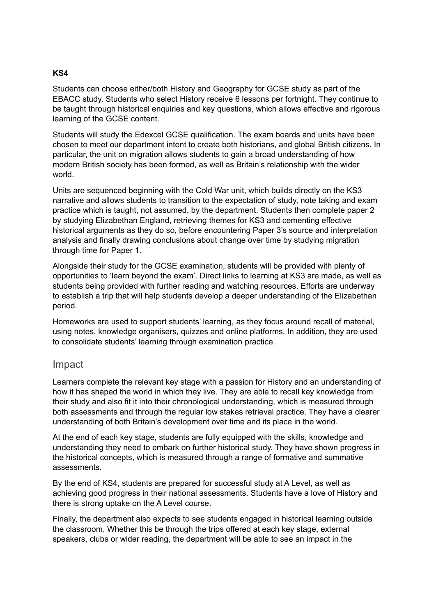#### **KS4**

Students can choose either/both History and Geography for GCSE study as part of the EBACC study. Students who select History receive 6 lessons per fortnight. They continue to be taught through historical enquiries and key questions, which allows effective and rigorous learning of the GCSE content.

Students will study the Edexcel GCSE qualification. The exam boards and units have been chosen to meet our department intent to create both historians, and global British citizens. In particular, the unit on migration allows students to gain a broad understanding of how modern British society has been formed, as well as Britain's relationship with the wider world.

Units are sequenced beginning with the Cold War unit, which builds directly on the KS3 narrative and allows students to transition to the expectation of study, note taking and exam practice which is taught, not assumed, by the department. Students then complete paper 2 by studying Elizabethan England, retrieving themes for KS3 and cementing effective historical arguments as they do so, before encountering Paper 3's source and interpretation analysis and finally drawing conclusions about change over time by studying migration through time for Paper 1.

Alongside their study for the GCSE examination, students will be provided with plenty of opportunities to 'learn beyond the exam'. Direct links to learning at KS3 are made, as well as students being provided with further reading and watching resources. Efforts are underway to establish a trip that will help students develop a deeper understanding of the Elizabethan period.

Homeworks are used to support students' learning, as they focus around recall of material, using notes, knowledge organisers, quizzes and online platforms. In addition, they are used to consolidate students' learning through examination practice.

### Impact

Learners complete the relevant key stage with a passion for History and an understanding of how it has shaped the world in which they live. They are able to recall key knowledge from their study and also fit it into their chronological understanding, which is measured through both assessments and through the regular low stakes retrieval practice. They have a clearer understanding of both Britain's development over time and its place in the world.

At the end of each key stage, students are fully equipped with the skills, knowledge and understanding they need to embark on further historical study. They have shown progress in the historical concepts, which is measured through a range of formative and summative assessments.

By the end of KS4, students are prepared for successful study at A Level, as well as achieving good progress in their national assessments. Students have a love of History and there is strong uptake on the A Level course.

Finally, the department also expects to see students engaged in historical learning outside the classroom. Whether this be through the trips offered at each key stage, external speakers, clubs or wider reading, the department will be able to see an impact in the